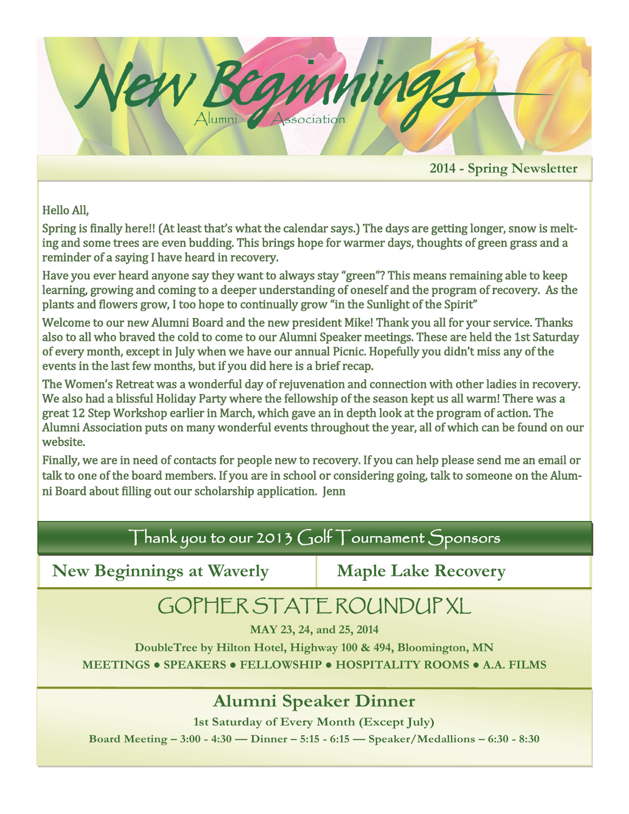

Hello All,

Spring is finally here!! (At least that's what the calendar says.) The days are getting longer, snow is melting and some trees are even budding. This brings hope for warmer days, thoughts of green grass and a reminder of a saying I have heard in recovery.

Have you ever heard anyone say they want to always stay "green"? This means remaining able to keep learning, growing and coming to a deeper understanding of oneself and the program of recovery. As the plants and flowers grow, I too hope to continually grow "in the Sunlight of the Spirit"

Welcome to our new Alumni Board and the new president Mike! Thank you all for your service. Thanks also to all who braved the cold to come to our Alumni Speaker meetings. These are held the 1st Saturday of every month, except in July when we have our annual Picnic. Hopefully you didn't miss any of the events in the last few months, but if you did here is a brief recap.

The Women's Retreat was a wonderful day of rejuvenation and connection with other ladies in recovery. We also had a blissful Holiday Party where the fellowship of the season kept us all warm! There was a great 12 Step Workshop earlier in March, which gave an in depth look at the program of action. The Alumni Association puts on many wonderful events throughout the year, all of which can be found on our website.

Finally, we are in need of contacts for people new to recovery. If you can help please send me an email or talk to one of the board members. If you are in school or considering going, talk to someone on the Alumni Board about filling out our scholarship application. Jenn

## Thank you to our 2013 Golf Tournament Sponsors

**New Beginnings at Waverly Maple Lake Recovery** 

# GOPHER STATE ROUNDUP XL

**MAY 23, 24, and 25, 2014**

**DoubleTree by Hilton Hotel, Highway 100 & 494, Bloomington, MN MEETINGS ● SPEAKERS ● FELLOWSHIP ● HOSPITALITY ROOMS ● A.A. FILMS**

## **Alumni Speaker Dinner**

**1st Saturday of Every Month (Except July) Board Meeting – 3:00 - 4:30 — Dinner – 5:15 - 6:15 — Speaker/Medallions – 6:30 - 8:30**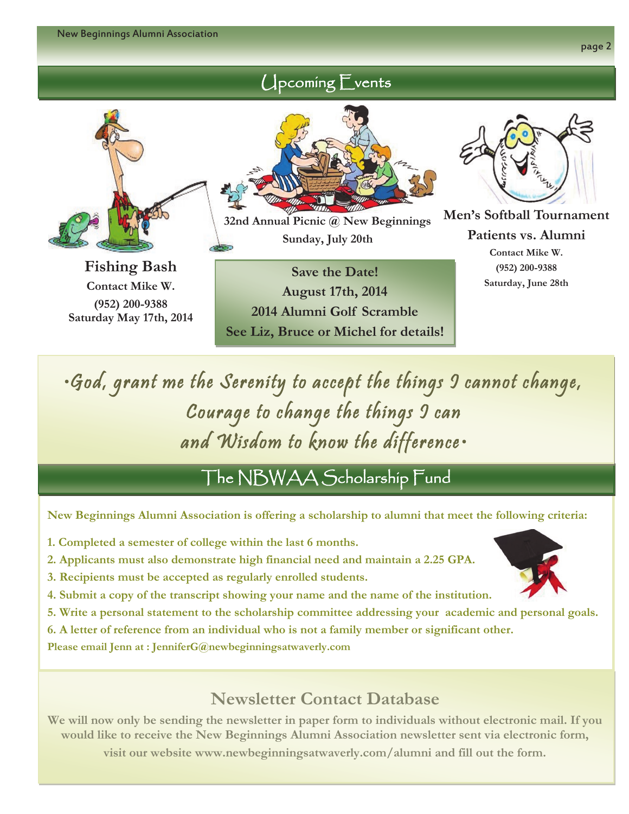page 2



**Fishing Bash Contact Mike W. (952) 200-9388 Saturday May 17th, 2014**



Upcoming Events

**32nd Annual Picnic @ New Beginnings Sunday, July 20th**

**Save the Date! August 17th, 2014 2014 Alumni Golf Scramble See Liz, Bruce or Michel for details!**

**Men's Softball Tournament Patients vs. Alumni Contact Mike W. (952) 200-9388 Saturday, June 28th**

•God, grant me the Serenity to accept the things I cannot change, Courage to change the things 9 can and Wisdom to know the difference•

The NBWAA Scholarship Fund

**New Beginnings Alumni Association is offering a scholarship to alumni that meet the following criteria:**

- **1. Completed a semester of college within the last 6 months.**
- **2. Applicants must also demonstrate high financial need and maintain a 2.25 GPA.**
- **3. Recipients must be accepted as regularly enrolled students.**
- **4. Submit a copy of the transcript showing your name and the name of the institution.**
- **5. Write a personal statement to the scholarship committee addressing your academic and personal goals.**
- **6. A letter of reference from an individual who is not a family member or significant other.**

**Please email Jenn at : JenniferG@newbeginningsatwaverly.com** 

## **Newsletter Contact Database**

**We will now only be sending the newsletter in paper form to individuals without electronic mail. If you would like to receive the New Beginnings Alumni Association newsletter sent via electronic form,** 

**visit our website www.newbeginningsatwaverly.com/alumni and fill out the form.**

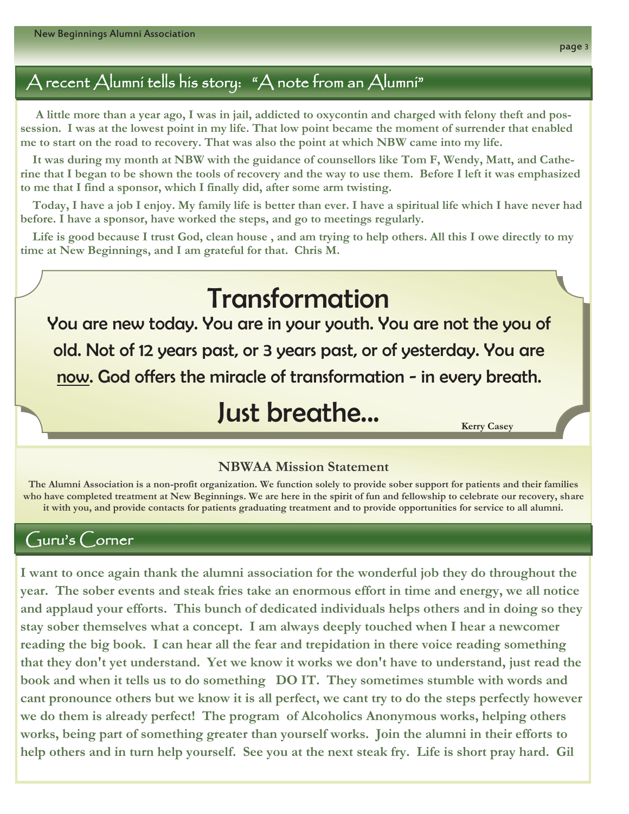## A recent Alumni tells his story: "A note from an Alumni"

 **A little more than a year ago, I was in jail, addicted to oxycontin and charged with felony theft and possession. I was at the lowest point in my life. That low point became the moment of surrender that enabled me to start on the road to recovery. That was also the point at which NBW came into my life.**

 **It was during my month at NBW with the guidance of counsellors like Tom F, Wendy, Matt, and Catherine that I began to be shown the tools of recovery and the way to use them. Before I left it was emphasized to me that I find a sponsor, which I finally did, after some arm twisting.**

 **Today, I have a job I enjoy. My family life is better than ever. I have a spiritual life which I have never had before. I have a sponsor, have worked the steps, and go to meetings regularly.** 

 **Life is good because I trust God, clean house , and am trying to help others. All this I owe directly to my time at New Beginnings, and I am grateful for that. Chris M.**

# Transformation

You are new today. You are in your youth. You are not the you of old. Not of 12 years past, or 3 years past, or of yesterday. You are now. God offers the miracle of transformation - in every breath.

# Just breathe...

**Kerry Casey**

#### **NBWAA Mission Statement**

**The Alumni Association is a non-profit organization. We function solely to provide sober support for patients and their families who have completed treatment at New Beginnings. We are here in the spirit of fun and fellowship to celebrate our recovery, share it with you, and provide contacts for patients graduating treatment and to provide opportunities for service to all alumni.**

### $C_1$ uru's  $C_2$ orner

**I want to once again thank the alumni association for the wonderful job they do throughout the year. The sober events and steak fries take an enormous effort in time and energy, we all notice and applaud your efforts. This bunch of dedicated individuals helps others and in doing so they stay sober themselves what a concept. I am always deeply touched when I hear a newcomer reading the big book. I can hear all the fear and trepidation in there voice reading something that they don't yet understand. Yet we know it works we don't have to understand, just read the book and when it tells us to do something DO IT. They sometimes stumble with words and cant pronounce others but we know it is all perfect, we cant try to do the steps perfectly however we do them is already perfect! The program of Alcoholics Anonymous works, helping others works, being part of something greater than yourself works. Join the alumni in their efforts to help others and in turn help yourself. See you at the next steak fry. Life is short pray hard. Gil**